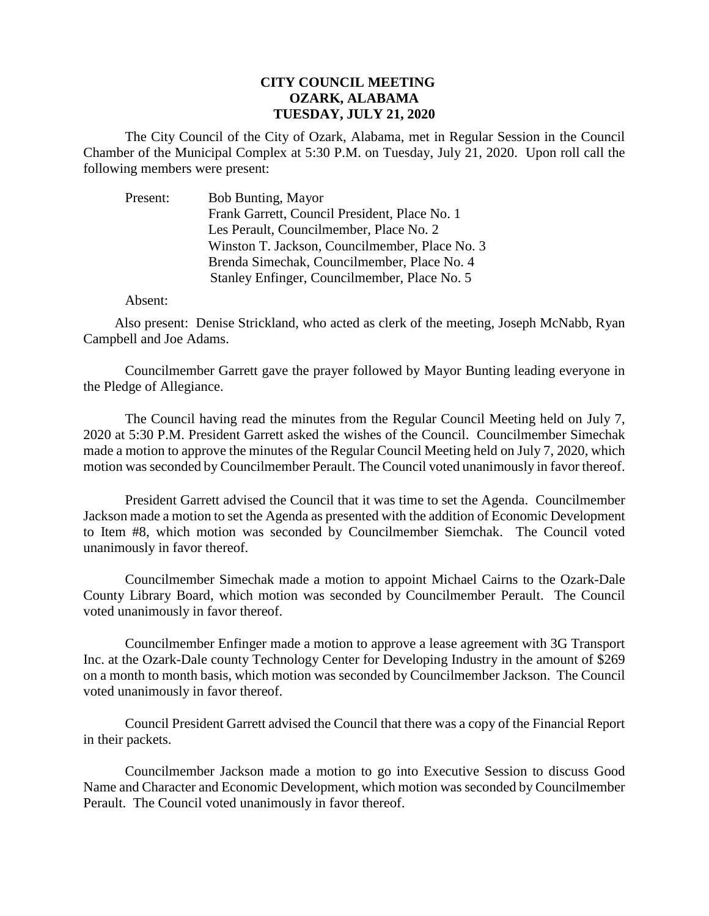## **CITY COUNCIL MEETING OZARK, ALABAMA TUESDAY, JULY 21, 2020**

The City Council of the City of Ozark, Alabama, met in Regular Session in the Council Chamber of the Municipal Complex at 5:30 P.M. on Tuesday, July 21, 2020. Upon roll call the following members were present:

Present: Bob Bunting, Mayor Frank Garrett, Council President, Place No. 1 Les Perault, Councilmember, Place No. 2 Winston T. Jackson, Councilmember, Place No. 3 Brenda Simechak, Councilmember, Place No. 4 Stanley Enfinger, Councilmember, Place No. 5

Absent:

Also present: Denise Strickland, who acted as clerk of the meeting, Joseph McNabb, Ryan Campbell and Joe Adams.

Councilmember Garrett gave the prayer followed by Mayor Bunting leading everyone in the Pledge of Allegiance.

The Council having read the minutes from the Regular Council Meeting held on July 7, 2020 at 5:30 P.M. President Garrett asked the wishes of the Council. Councilmember Simechak made a motion to approve the minutes of the Regular Council Meeting held on July 7, 2020, which motion was seconded by Councilmember Perault. The Council voted unanimously in favor thereof.

President Garrett advised the Council that it was time to set the Agenda. Councilmember Jackson made a motion to set the Agenda as presented with the addition of Economic Development to Item #8, which motion was seconded by Councilmember Siemchak. The Council voted unanimously in favor thereof.

Councilmember Simechak made a motion to appoint Michael Cairns to the Ozark-Dale County Library Board, which motion was seconded by Councilmember Perault. The Council voted unanimously in favor thereof.

Councilmember Enfinger made a motion to approve a lease agreement with 3G Transport Inc. at the Ozark-Dale county Technology Center for Developing Industry in the amount of \$269 on a month to month basis, which motion was seconded by Councilmember Jackson. The Council voted unanimously in favor thereof.

Council President Garrett advised the Council that there was a copy of the Financial Report in their packets.

Councilmember Jackson made a motion to go into Executive Session to discuss Good Name and Character and Economic Development, which motion was seconded by Councilmember Perault. The Council voted unanimously in favor thereof.